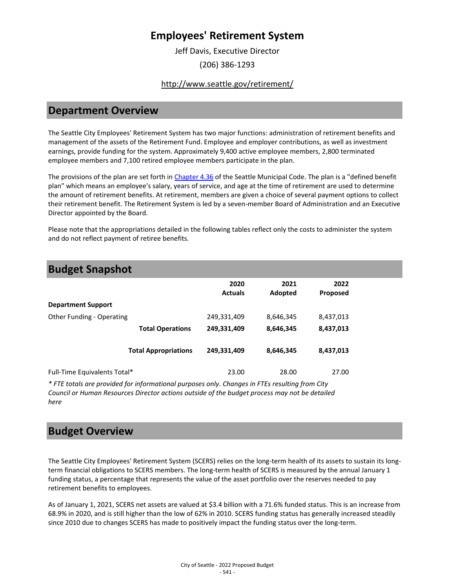Jeff Davis, Executive Director (206) 386-1293

#### <http://www.seattle.gov/retirement/>

### **Department Overview**

The Seattle City Employees' Retirement System has two major functions: administration of retirement benefits and management of the assets of the Retirement Fund. Employee and employer contributions, as well as investment earnings, provide funding for the system. Approximately 9,400 active employee members, 2,800 terminated employee members and 7,100 retired employee members participate in the plan.

The provisions of the plan are set forth in [Chapter 4.36](https://library.municode.com/wa/seattle/codes/municipal_code?nodeId) of the Seattle Municipal Code. The plan is a "defined benefit plan" which means an employee's salary, years of service, and age at the time of retirement are used to determine the amount of retirement benefits. At retirement, members are given a choice of several payment options to collect their retirement benefit. The Retirement System is led by a seven-member Board of Administration and an Executive Director appointed by the Board.

Please note that the appropriations detailed in the following tables reflect only the costs to administer the system and do not reflect payment of retiree benefits.

| <b>Budget Snapshot</b>       |                             |                        |                 |                         |  |
|------------------------------|-----------------------------|------------------------|-----------------|-------------------------|--|
|                              |                             | 2020<br><b>Actuals</b> | 2021<br>Adopted | 2022<br><b>Proposed</b> |  |
| <b>Department Support</b>    |                             |                        |                 |                         |  |
| Other Funding - Operating    |                             | 249,331,409            | 8,646,345       | 8,437,013               |  |
|                              | <b>Total Operations</b>     | 249,331,409            | 8,646,345       | 8,437,013               |  |
|                              | <b>Total Appropriations</b> | 249,331,409            | 8,646,345       | 8,437,013               |  |
| Full-Time Equivalents Total* |                             | 23.00                  | 28.00           | 27.00                   |  |

*\* FTE totals are provided for informational purposes only. Changes in FTEs resulting from City Council or Human Resources Director actions outside of the budget process may not be detailed here*

## **Budget Overview**

The Seattle City Employees' Retirement System (SCERS) relies on the long-term health of its assets to sustain its longterm financial obligations to SCERS members. The long-term health of SCERS is measured by the annual January 1 funding status, a percentage that represents the value of the asset portfolio over the reserves needed to pay retirement benefits to employees.

As of January 1, 2021, SCERS net assets are valued at \$3.4 billion with a 71.6% funded status. This is an increase from 68.9% in 2020, and is still higher than the low of 62% in 2010. SCERS funding status has generally increased steadily since 2010 due to changes SCERS has made to positively impact the funding status over the long-term.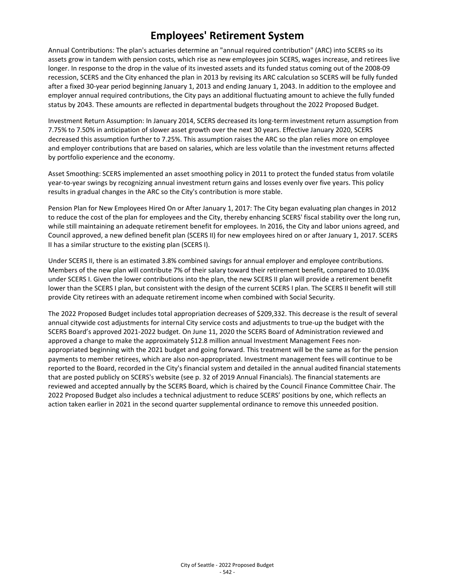Annual Contributions: The plan's actuaries determine an "annual required contribution" (ARC) into SCERS so its assets grow in tandem with pension costs, which rise as new employees join SCERS, wages increase, and retirees live longer. In response to the drop in the value of its invested assets and its funded status coming out of the 2008-09 recession, SCERS and the City enhanced the plan in 2013 by revising its ARC calculation so SCERS will be fully funded after a fixed 30-year period beginning January 1, 2013 and ending January 1, 2043. In addition to the employee and employer annual required contributions, the City pays an additional fluctuating amount to achieve the fully funded status by 2043. These amounts are reflected in departmental budgets throughout the 2022 Proposed Budget.

Investment Return Assumption: In January 2014, SCERS decreased its long-term investment return assumption from 7.75% to 7.50% in anticipation of slower asset growth over the next 30 years. Effective January 2020, SCERS decreased this assumption further to 7.25%. This assumption raises the ARC so the plan relies more on employee and employer contributions that are based on salaries, which are less volatile than the investment returns affected by portfolio experience and the economy.

Asset Smoothing: SCERS implemented an asset smoothing policy in 2011 to protect the funded status from volatile year-to-year swings by recognizing annual investment return gains and losses evenly over five years. This policy results in gradual changes in the ARC so the City's contribution is more stable.

Pension Plan for New Employees Hired On or After January 1, 2017: The City began evaluating plan changes in 2012 to reduce the cost of the plan for employees and the City, thereby enhancing SCERS' fiscal stability over the long run, while still maintaining an adequate retirement benefit for employees. In 2016, the City and labor unions agreed, and Council approved, a new defined benefit plan (SCERS II) for new employees hired on or after January 1, 2017. SCERS II has a similar structure to the existing plan (SCERS I).

Under SCERS II, there is an estimated 3.8% combined savings for annual employer and employee contributions. Members of the new plan will contribute 7% of their salary toward their retirement benefit, compared to 10.03% under SCERS I. Given the lower contributions into the plan, the new SCERS II plan will provide a retirement benefit lower than the SCERS I plan, but consistent with the design of the current SCERS I plan. The SCERS II benefit will still provide City retirees with an adequate retirement income when combined with Social Security.

The 2022 Proposed Budget includes total appropriation decreases of \$209,332. This decrease is the result of several annual citywide cost adjustments for internal City service costs and adjustments to true-up the budget with the SCERS Board's approved 2021-2022 budget. On June 11, 2020 the SCERS Board of Administration reviewed and approved a change to make the approximately \$12.8 million annual Investment Management Fees nonappropriated beginning with the 2021 budget and going forward. This treatment will be the same as for the pension payments to member retirees, which are also non-appropriated. Investment management fees will continue to be reported to the Board, recorded in the City's financial system and detailed in the annual audited financial statements that are posted publicly on SCERS's website (see p. 32 of 2019 Annual Financials). The financial statements are reviewed and accepted annually by the SCERS Board, which is chaired by the Council Finance Committee Chair. The 2022 Proposed Budget also includes a technical adjustment to reduce SCERS' positions by one, which reflects an action taken earlier in 2021 in the second quarter supplemental ordinance to remove this unneeded position.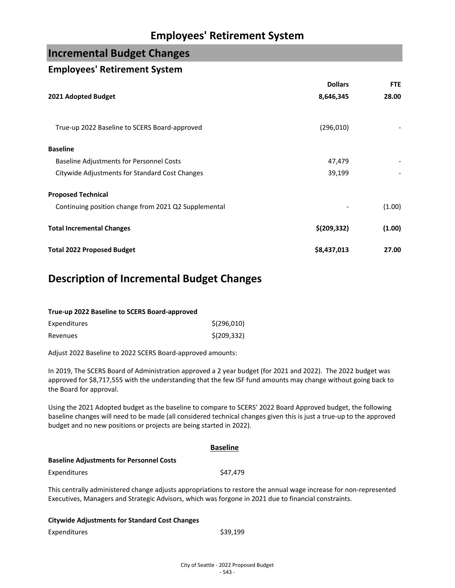## **Incremental Budget Changes**

### **Employees' Retirement System**

|                                                      | <b>Dollars</b> | <b>FTE</b> |
|------------------------------------------------------|----------------|------------|
| 2021 Adopted Budget                                  | 8,646,345      | 28.00      |
| True-up 2022 Baseline to SCERS Board-approved        | (296, 010)     |            |
| <b>Baseline</b>                                      |                |            |
| <b>Baseline Adjustments for Personnel Costs</b>      | 47,479         |            |
| Citywide Adjustments for Standard Cost Changes       | 39,199         |            |
| <b>Proposed Technical</b>                            |                |            |
| Continuing position change from 2021 Q2 Supplemental |                | (1.00)     |
| <b>Total Incremental Changes</b>                     | \$(209, 332)   | (1.00)     |
| <b>Total 2022 Proposed Budget</b>                    | \$8,437,013    | 27.00      |

## **Description of Incremental Budget Changes**

| True-up 2022 Baseline to SCERS Board-approved |              |
|-----------------------------------------------|--------------|
| Expenditures                                  | \$(296,010)  |
| Revenues                                      | \$(209, 332) |

Adjust 2022 Baseline to 2022 SCERS Board-approved amounts:

In 2019, The SCERS Board of Administration approved a 2 year budget (for 2021 and 2022). The 2022 budget was approved for \$8,717,555 with the understanding that the few ISF fund amounts may change without going back to the Board for approval.

Using the 2021 Adopted budget as the baseline to compare to SCERS' 2022 Board Approved budget, the following baseline changes will need to be made (all considered technical changes given this is just a true-up to the approved budget and no new positions or projects are being started in 2022).

|                                                       | <b>Baseline</b>                                                                                                                                                                                                           |  |
|-------------------------------------------------------|---------------------------------------------------------------------------------------------------------------------------------------------------------------------------------------------------------------------------|--|
| <b>Baseline Adjustments for Personnel Costs</b>       |                                                                                                                                                                                                                           |  |
| Expenditures                                          | \$47.479                                                                                                                                                                                                                  |  |
|                                                       | This centrally administered change adjusts appropriations to restore the annual wage increase for non-represented<br>Executives, Managers and Strategic Advisors, which was forgone in 2021 due to financial constraints. |  |
| <b>Citywide Adjustments for Standard Cost Changes</b> |                                                                                                                                                                                                                           |  |

| Expenditures | \$39,199 |
|--------------|----------|
|              |          |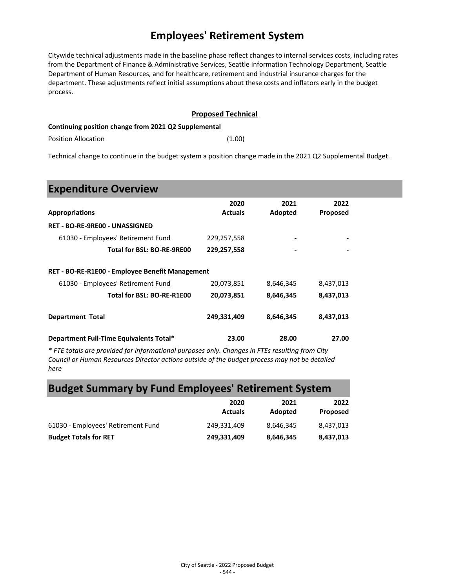Citywide technical adjustments made in the baseline phase reflect changes to internal services costs, including rates from the Department of Finance & Administrative Services, Seattle Information Technology Department, Seattle Department of Human Resources, and for healthcare, retirement and industrial insurance charges for the department. These adjustments reflect initial assumptions about these costs and inflators early in the budget process.

#### **Proposed Technical**

#### **Continuing position change from 2021 Q2 Supplemental**

Position Allocation (1.00)

Technical change to continue in the budget system a position change made in the 2021 Q2 Supplemental Budget.

## **Expenditure Overview**

| <b>Appropriations</b>                           | 2020<br><b>Actuals</b> | 2021<br>Adopted | 2022<br><b>Proposed</b> |  |
|-------------------------------------------------|------------------------|-----------------|-------------------------|--|
| <b>RET - BO-RE-9RE00 - UNASSIGNED</b>           |                        |                 |                         |  |
| 61030 - Employees' Retirement Fund              | 229,257,558            | -               | -                       |  |
| Total for BSL: BO-RE-9RE00                      | 229,257,558            |                 |                         |  |
| RET - BO-RE-R1E00 - Employee Benefit Management |                        |                 |                         |  |
| 61030 - Employees' Retirement Fund              | 20,073,851             | 8,646,345       | 8,437,013               |  |
| Total for BSL: BO-RE-R1E00                      | 20,073,851             | 8,646,345       | 8,437,013               |  |
| <b>Department Total</b>                         | 249,331,409            | 8,646,345       | 8,437,013               |  |
| Department Full-Time Equivalents Total*         | 23.00                  | 28.00           | 27.00                   |  |

*\* FTE totals are provided for informational purposes only. Changes in FTEs resulting from City Council or Human Resources Director actions outside of the budget process may not be detailed here*

## **Budget Summary by Fund Employees' Retirement System**

|                                    | 2020           | 2021      | 2022      |
|------------------------------------|----------------|-----------|-----------|
|                                    | <b>Actuals</b> | Adopted   | Proposed  |
| 61030 - Employees' Retirement Fund | 249.331.409    | 8.646.345 | 8,437,013 |
| <b>Budget Totals for RET</b>       | 249,331,409    | 8,646,345 | 8,437,013 |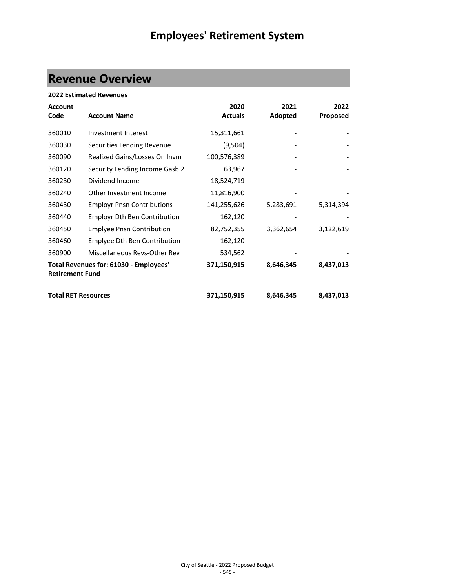# **Revenue Overview**

| <b>2022 Estimated Revenues</b>                                   |                                     |                |           |                 |  |
|------------------------------------------------------------------|-------------------------------------|----------------|-----------|-----------------|--|
| <b>Account</b>                                                   |                                     | 2020           | 2021      | 2022            |  |
| Code                                                             | <b>Account Name</b>                 | <b>Actuals</b> | Adopted   | <b>Proposed</b> |  |
| 360010                                                           | Investment Interest                 | 15,311,661     |           |                 |  |
| 360030                                                           | Securities Lending Revenue          | (9,504)        |           |                 |  |
| 360090                                                           | Realized Gains/Losses On Invm       | 100,576,389    |           |                 |  |
| 360120                                                           | Security Lending Income Gasb 2      | 63,967         |           |                 |  |
| 360230                                                           | Dividend Income                     | 18,524,719     |           |                 |  |
| 360240                                                           | Other Investment Income             | 11,816,900     |           |                 |  |
| 360430                                                           | <b>Employr Pnsn Contributions</b>   | 141,255,626    | 5,283,691 | 5,314,394       |  |
| 360440                                                           | <b>Employr Dth Ben Contribution</b> | 162,120        |           |                 |  |
| 360450                                                           | <b>Emplyee Pnsn Contribution</b>    | 82,752,355     | 3,362,654 | 3,122,619       |  |
| 360460                                                           | Emplyee Dth Ben Contribution        | 162,120        |           |                 |  |
| 360900                                                           | Miscellaneous Revs-Other Rev        | 534,562        |           |                 |  |
| Total Revenues for: 61030 - Employees'<br><b>Retirement Fund</b> |                                     | 371,150,915    | 8,646,345 | 8,437,013       |  |
| <b>Total RET Resources</b>                                       |                                     | 371,150,915    | 8,646,345 | 8,437,013       |  |